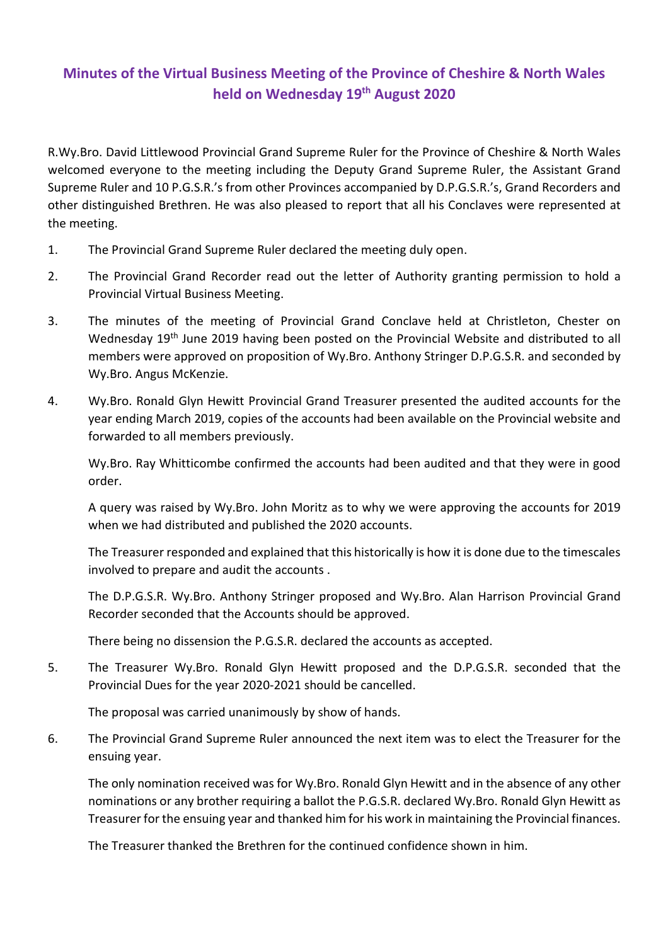## **Minutes of the Virtual Business Meeting of the Province of Cheshire & North Wales held on Wednesday 19th August 2020**

R.Wy.Bro. David Littlewood Provincial Grand Supreme Ruler for the Province of Cheshire & North Wales welcomed everyone to the meeting including the Deputy Grand Supreme Ruler, the Assistant Grand Supreme Ruler and 10 P.G.S.R.'s from other Provinces accompanied by D.P.G.S.R.'s, Grand Recorders and other distinguished Brethren. He was also pleased to report that all his Conclaves were represented at the meeting.

- 1. The Provincial Grand Supreme Ruler declared the meeting duly open.
- 2. The Provincial Grand Recorder read out the letter of Authority granting permission to hold a Provincial Virtual Business Meeting.
- 3. The minutes of the meeting of Provincial Grand Conclave held at Christleton, Chester on Wednesday 19<sup>th</sup> June 2019 having been posted on the Provincial Website and distributed to all members were approved on proposition of Wy.Bro. Anthony Stringer D.P.G.S.R. and seconded by Wy.Bro. Angus McKenzie.
- 4. Wy.Bro. Ronald Glyn Hewitt Provincial Grand Treasurer presented the audited accounts for the year ending March 2019, copies of the accounts had been available on the Provincial website and forwarded to all members previously.

Wy.Bro. Ray Whitticombe confirmed the accounts had been audited and that they were in good order.

 A query was raised by Wy.Bro. John Moritz as to why we were approving the accounts for 2019 when we had distributed and published the 2020 accounts.

 The Treasurer responded and explained that this historically is how it is done due to the timescales involved to prepare and audit the accounts .

 The D.P.G.S.R. Wy.Bro. Anthony Stringer proposed and Wy.Bro. Alan Harrison Provincial Grand Recorder seconded that the Accounts should be approved.

There being no dissension the P.G.S.R. declared the accounts as accepted.

5. The Treasurer Wy.Bro. Ronald Glyn Hewitt proposed and the D.P.G.S.R. seconded that the Provincial Dues for the year 2020-2021 should be cancelled.

The proposal was carried unanimously by show of hands.

6. The Provincial Grand Supreme Ruler announced the next item was to elect the Treasurer for the ensuing year.

 The only nomination received was for Wy.Bro. Ronald Glyn Hewitt and in the absence of any other nominations or any brother requiring a ballot the P.G.S.R. declared Wy.Bro. Ronald Glyn Hewitt as Treasurer for the ensuing year and thanked him for his work in maintaining the Provincial finances.

The Treasurer thanked the Brethren for the continued confidence shown in him.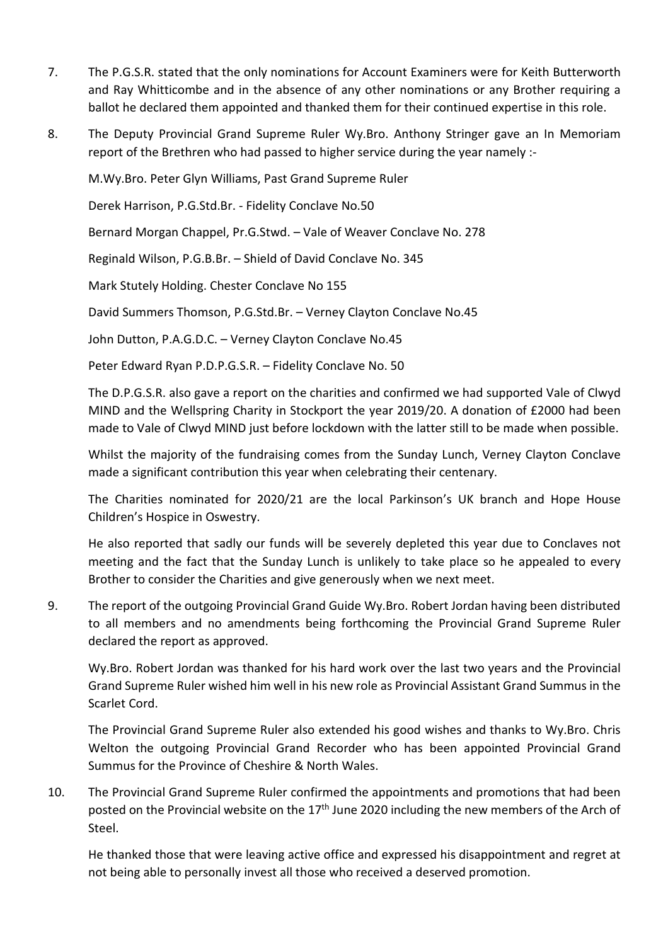- 7. The P.G.S.R. stated that the only nominations for Account Examiners were for Keith Butterworth and Ray Whitticombe and in the absence of any other nominations or any Brother requiring a ballot he declared them appointed and thanked them for their continued expertise in this role.
- 8. The Deputy Provincial Grand Supreme Ruler Wy.Bro. Anthony Stringer gave an In Memoriam report of the Brethren who had passed to higher service during the year namely :-

M.Wy.Bro. Peter Glyn Williams, Past Grand Supreme Ruler

Derek Harrison, P.G.Std.Br. - Fidelity Conclave No.50

Bernard Morgan Chappel, Pr.G.Stwd. – Vale of Weaver Conclave No. 278

Reginald Wilson, P.G.B.Br. – Shield of David Conclave No. 345

Mark Stutely Holding. Chester Conclave No 155

David Summers Thomson, P.G.Std.Br. – Verney Clayton Conclave No.45

John Dutton, P.A.G.D.C. – Verney Clayton Conclave No.45

Peter Edward Ryan P.D.P.G.S.R. – Fidelity Conclave No. 50

 The D.P.G.S.R. also gave a report on the charities and confirmed we had supported Vale of Clwyd MIND and the Wellspring Charity in Stockport the year 2019/20. A donation of £2000 had been made to Vale of Clwyd MIND just before lockdown with the latter still to be made when possible.

 Whilst the majority of the fundraising comes from the Sunday Lunch, Verney Clayton Conclave made a significant contribution this year when celebrating their centenary.

 The Charities nominated for 2020/21 are the local Parkinson's UK branch and Hope House Children's Hospice in Oswestry.

 He also reported that sadly our funds will be severely depleted this year due to Conclaves not meeting and the fact that the Sunday Lunch is unlikely to take place so he appealed to every Brother to consider the Charities and give generously when we next meet.

9. The report of the outgoing Provincial Grand Guide Wy.Bro. Robert Jordan having been distributed to all members and no amendments being forthcoming the Provincial Grand Supreme Ruler declared the report as approved.

 Wy.Bro. Robert Jordan was thanked for his hard work over the last two years and the Provincial Grand Supreme Ruler wished him well in his new role as Provincial Assistant Grand Summus in the Scarlet Cord.

 The Provincial Grand Supreme Ruler also extended his good wishes and thanks to Wy.Bro. Chris Welton the outgoing Provincial Grand Recorder who has been appointed Provincial Grand Summus for the Province of Cheshire & North Wales.

10. The Provincial Grand Supreme Ruler confirmed the appointments and promotions that had been posted on the Provincial website on the 17<sup>th</sup> June 2020 including the new members of the Arch of Steel.

 He thanked those that were leaving active office and expressed his disappointment and regret at not being able to personally invest all those who received a deserved promotion.